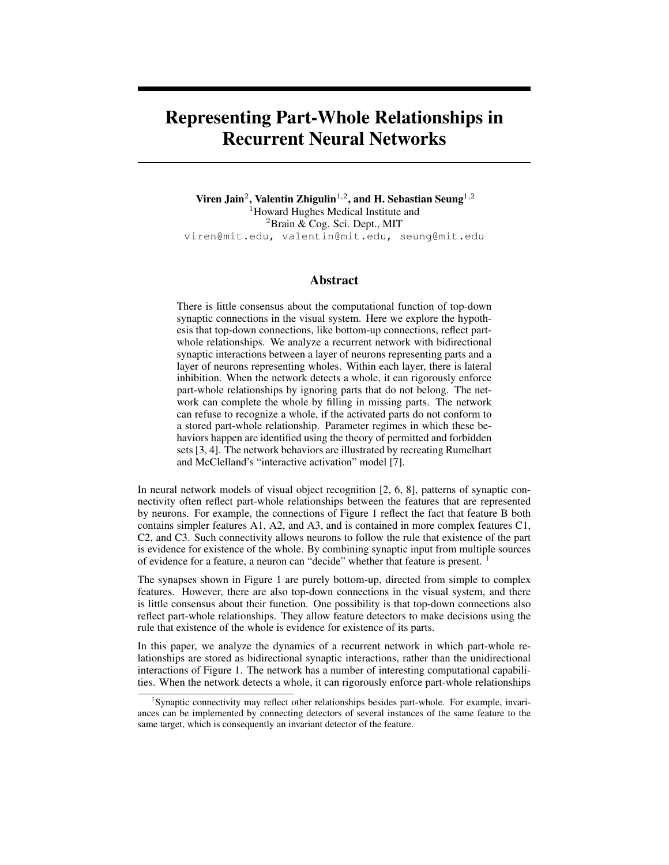# Representing Part-Whole Relationships in Recurrent Neural Networks

Viren Jain $^2$ , Valentin Zhigulin $^{1,2}$ , and H. Sebastian Seung $^{1,2}$ <sup>1</sup>Howard Hughes Medical Institute and <sup>2</sup>Brain & Cog. Sci. Dept., MIT viren@mit.edu, valentin@mit.edu, seung@mit.edu

## Abstract

There is little consensus about the computational function of top-down synaptic connections in the visual system. Here we explore the hypothesis that top-down connections, like bottom-up connections, reflect partwhole relationships. We analyze a recurrent network with bidirectional synaptic interactions between a layer of neurons representing parts and a layer of neurons representing wholes. Within each layer, there is lateral inhibition. When the network detects a whole, it can rigorously enforce part-whole relationships by ignoring parts that do not belong. The network can complete the whole by filling in missing parts. The network can refuse to recognize a whole, if the activated parts do not conform to a stored part-whole relationship. Parameter regimes in which these behaviors happen are identified using the theory of permitted and forbidden sets [3, 4]. The network behaviors are illustrated by recreating Rumelhart and McClelland's "interactive activation" model [7].

In neural network models of visual object recognition [2, 6, 8], patterns of synaptic connectivity often reflect part-whole relationships between the features that are represented by neurons. For example, the connections of Figure 1 reflect the fact that feature B both contains simpler features A1, A2, and A3, and is contained in more complex features C1, C2, and C3. Such connectivity allows neurons to follow the rule that existence of the part is evidence for existence of the whole. By combining synaptic input from multiple sources of evidence for a feature, a neuron can "decide" whether that feature is present. <sup>1</sup>

The synapses shown in Figure 1 are purely bottom-up, directed from simple to complex features. However, there are also top-down connections in the visual system, and there is little consensus about their function. One possibility is that top-down connections also reflect part-whole relationships. They allow feature detectors to make decisions using the rule that existence of the whole is evidence for existence of its parts.

In this paper, we analyze the dynamics of a recurrent network in which part-whole relationships are stored as bidirectional synaptic interactions, rather than the unidirectional interactions of Figure 1. The network has a number of interesting computational capabilities. When the network detects a whole, it can rigorously enforce part-whole relationships

<sup>&</sup>lt;sup>1</sup>Synaptic connectivity may reflect other relationships besides part-whole. For example, invariances can be implemented by connecting detectors of several instances of the same feature to the same target, which is consequently an invariant detector of the feature.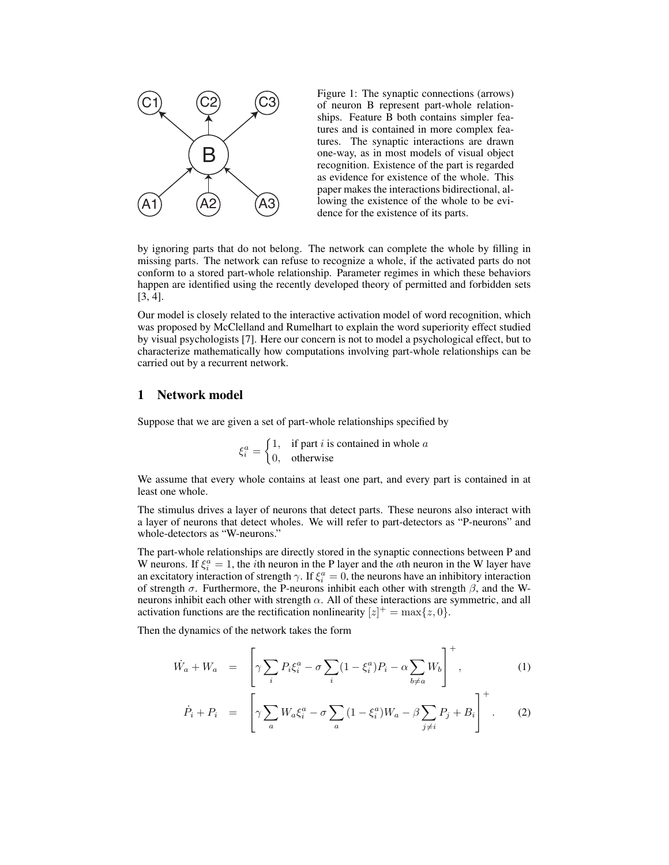

Figure 1: The synaptic connections (arrows) of neuron B represent part-whole relationships. Feature B both contains simpler features and is contained in more complex features. The synaptic interactions are drawn one-way, as in most models of visual object recognition. Existence of the part is regarded as evidence for existence of the whole. This paper makes the interactions bidirectional, allowing the existence of the whole to be evidence for the existence of its parts.

by ignoring parts that do not belong. The network can complete the whole by filling in missing parts. The network can refuse to recognize a whole, if the activated parts do not conform to a stored part-whole relationship. Parameter regimes in which these behaviors happen are identified using the recently developed theory of permitted and forbidden sets [3, 4].

Our model is closely related to the interactive activation model of word recognition, which was proposed by McClelland and Rumelhart to explain the word superiority effect studied by visual psychologists [7]. Here our concern is not to model a psychological effect, but to characterize mathematically how computations involving part-whole relationships can be carried out by a recurrent network.

## 1 Network model

Suppose that we are given a set of part-whole relationships specified by

$$
\xi_i^a = \begin{cases} 1, & \text{if part } i \text{ is contained in whole } a \\ 0, & \text{otherwise} \end{cases}
$$

We assume that every whole contains at least one part, and every part is contained in at least one whole.

The stimulus drives a layer of neurons that detect parts. These neurons also interact with a layer of neurons that detect wholes. We will refer to part-detectors as "P-neurons" and whole-detectors as "W-neurons."

The part-whole relationships are directly stored in the synaptic connections between P and W neurons. If  $\xi_i^a = 1$ , the *i*th neuron in the P layer and the *a*th neuron in the W layer have an excitatory interaction of strength  $\gamma$ . If  $\xi_i^a = 0$ , the neurons have an inhibitory interaction of strength  $\sigma$ . Furthermore, the P-neurons inhibit each other with strength  $\beta$ , and the Wneurons inhibit each other with strength  $\alpha$ . All of these interactions are symmetric, and all activation functions are the rectification nonlinearity  $[z]^{+} = \max\{z, 0\}.$ 

Then the dynamics of the network takes the form

$$
\dot{W}_a + W_a = \left[ \gamma \sum_i P_i \xi_i^a - \sigma \sum_i (1 - \xi_i^a) P_i - \alpha \sum_{b \neq a} W_b \right]^+, \tag{1}
$$

$$
\dot{P}_i + P_i = \left[ \gamma \sum_a W_a \xi_i^a - \sigma \sum_a (1 - \xi_i^a) W_a - \beta \sum_{j \neq i} P_j + B_i \right]^+.
$$
 (2)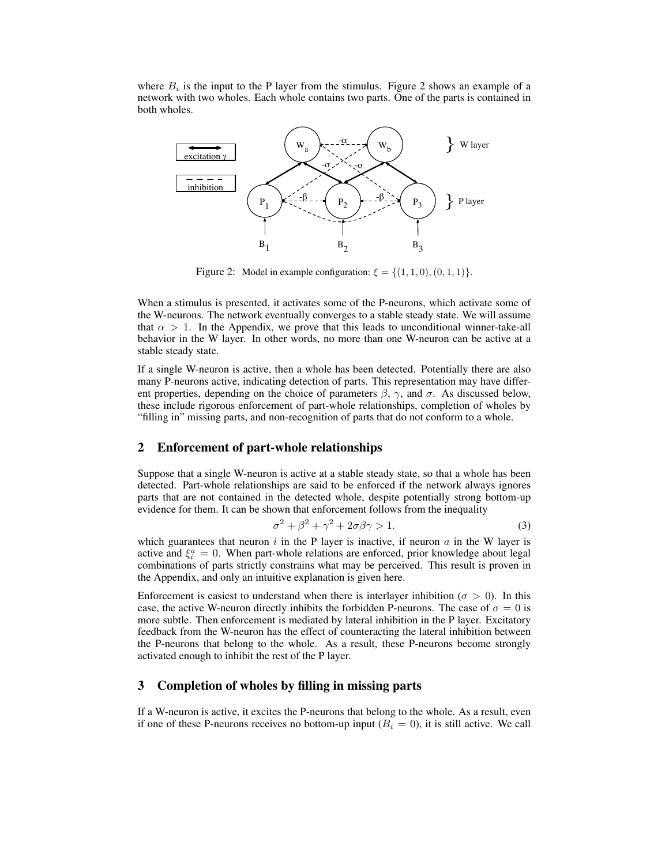where  $B_i$  is the input to the P layer from the stimulus. Figure 2 shows an example of a network with two wholes. Each whole contains two parts. One of the parts is contained in both wholes.



Figure 2: Model in example configuration:  $\xi = \{(1,1,0), (0,1,1)\}.$ 

When a stimulus is presented, it activates some of the P-neurons, which activate some of the W-neurons. The network eventually converges to a stable steady state. We will assume that  $\alpha > 1$ . In the Appendix, we prove that this leads to unconditional winner-take-all behavior in the W layer. In other words, no more than one W-neuron can be active at a stable steady state.

If a single W-neuron is active, then a whole has been detected. Potentially there are also many P-neurons active, indicating detection of parts. This representation may have different properties, depending on the choice of parameters  $\beta$ ,  $\gamma$ , and  $\sigma$ . As discussed below, these include rigorous enforcement of part-whole relationships, completion of wholes by "filling in" missing parts, and non-recognition of parts that do not conform to a whole.

## 2 Enforcement of part-whole relationships

Suppose that a single W-neuron is active at a stable steady state, so that a whole has been detected. Part-whole relationships are said to be enforced if the network always ignores parts that are not contained in the detected whole, despite potentially strong bottom-up evidence for them. It can be shown that enforcement follows from the inequality

$$
\sigma^2 + \beta^2 + \gamma^2 + 2\sigma\beta\gamma > 1.
$$
 (3)

which guarantees that neuron  $i$  in the P layer is inactive, if neuron  $\alpha$  in the W layer is active and  $\xi_i^a = 0$ . When part-whole relations are enforced, prior knowledge about legal combinations of parts strictly constrains what may be perceived. This result is proven in the Appendix, and only an intuitive explanation is given here.

Enforcement is easiest to understand when there is interlayer inhibition ( $\sigma > 0$ ). In this case, the active W-neuron directly inhibits the forbidden P-neurons. The case of  $\sigma = 0$  is more subtle. Then enforcement is mediated by lateral inhibition in the P layer. Excitatory feedback from the W-neuron has the effect of counteracting the lateral inhibition between the P-neurons that belong to the whole. As a result, these P-neurons become strongly activated enough to inhibit the rest of the P layer.

## 3 Completion of wholes by filling in missing parts

If a W-neuron is active, it excites the P-neurons that belong to the whole. As a result, even if one of these P-neurons receives no bottom-up input  $(B<sub>i</sub> = 0)$ , it is still active. We call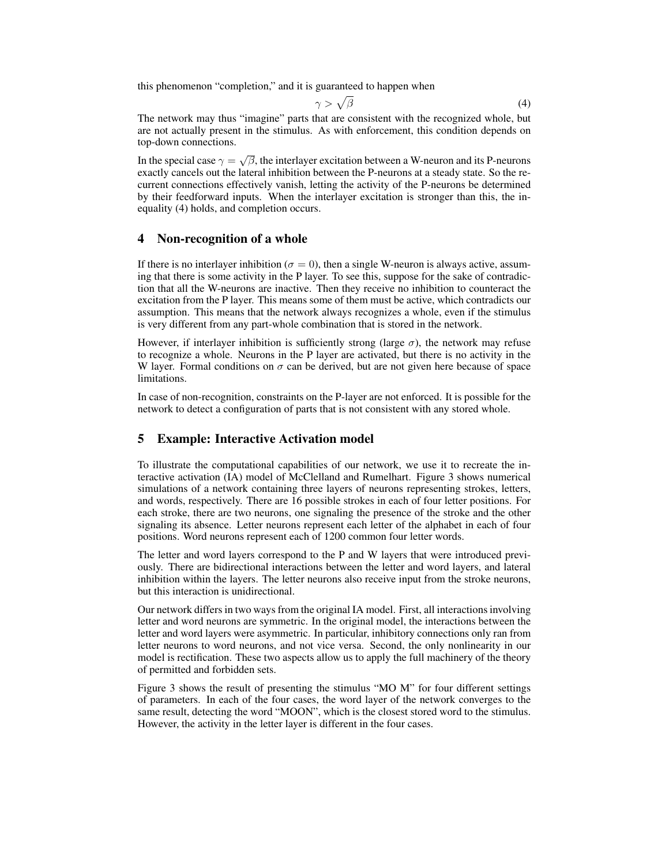this phenomenon "completion," and it is guaranteed to happen when

$$
\gamma > \sqrt{\beta} \tag{4}
$$

The network may thus "imagine" parts that are consistent with the recognized whole, but are not actually present in the stimulus. As with enforcement, this condition depends on top-down connections.

In the special case  $\gamma = \sqrt{\beta}$ , the interlayer excitation between a W-neuron and its P-neurons exactly cancels out the lateral inhibition between the P-neurons at a steady state. So the recurrent connections effectively vanish, letting the activity of the P-neurons be determined by their feedforward inputs. When the interlayer excitation is stronger than this, the inequality (4) holds, and completion occurs.

# 4 Non-recognition of a whole

If there is no interlayer inhibition ( $\sigma = 0$ ), then a single W-neuron is always active, assuming that there is some activity in the P layer. To see this, suppose for the sake of contradiction that all the W-neurons are inactive. Then they receive no inhibition to counteract the excitation from the P layer. This means some of them must be active, which contradicts our assumption. This means that the network always recognizes a whole, even if the stimulus is very different from any part-whole combination that is stored in the network.

However, if interlayer inhibition is sufficiently strong (large  $\sigma$ ), the network may refuse to recognize a whole. Neurons in the P layer are activated, but there is no activity in the W layer. Formal conditions on  $\sigma$  can be derived, but are not given here because of space limitations.

In case of non-recognition, constraints on the P-layer are not enforced. It is possible for the network to detect a configuration of parts that is not consistent with any stored whole.

# 5 Example: Interactive Activation model

To illustrate the computational capabilities of our network, we use it to recreate the interactive activation (IA) model of McClelland and Rumelhart. Figure 3 shows numerical simulations of a network containing three layers of neurons representing strokes, letters, and words, respectively. There are 16 possible strokes in each of four letter positions. For each stroke, there are two neurons, one signaling the presence of the stroke and the other signaling its absence. Letter neurons represent each letter of the alphabet in each of four positions. Word neurons represent each of 1200 common four letter words.

The letter and word layers correspond to the P and W layers that were introduced previously. There are bidirectional interactions between the letter and word layers, and lateral inhibition within the layers. The letter neurons also receive input from the stroke neurons, but this interaction is unidirectional.

Our network differs in two ways from the original IA model. First, all interactions involving letter and word neurons are symmetric. In the original model, the interactions between the letter and word layers were asymmetric. In particular, inhibitory connections only ran from letter neurons to word neurons, and not vice versa. Second, the only nonlinearity in our model is rectification. These two aspects allow us to apply the full machinery of the theory of permitted and forbidden sets.

Figure 3 shows the result of presenting the stimulus "MO M" for four different settings of parameters. In each of the four cases, the word layer of the network converges to the same result, detecting the word "MOON", which is the closest stored word to the stimulus. However, the activity in the letter layer is different in the four cases.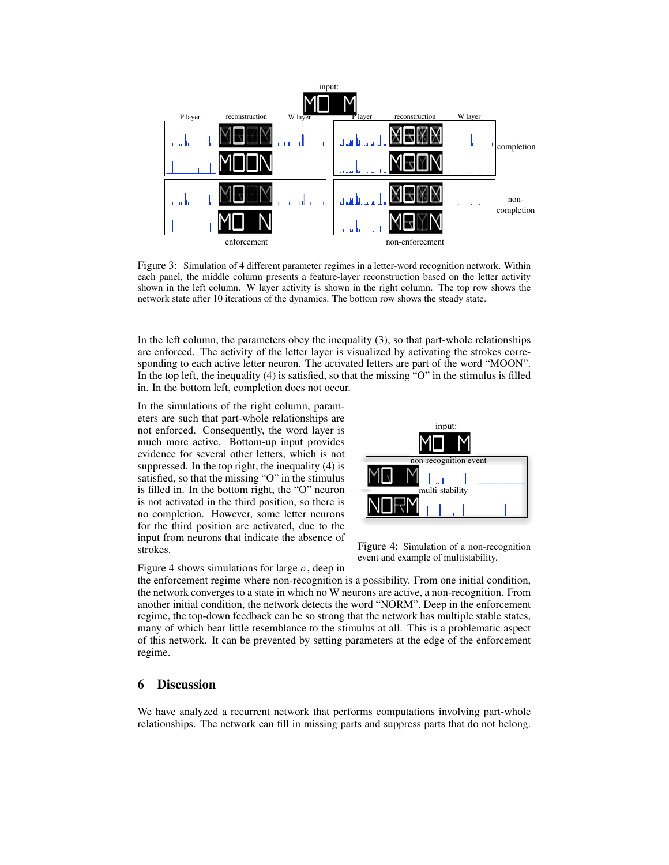

Figure 3: Simulation of 4 different parameter regimes in a letter- word recognition network. Within each panel, the middle column presents a feature-layer reconstruction based on the letter activity shown in the left column. W layer activity is shown in the right column. The top row shows the network state after 10 iterations of the dynamics. The bottom row shows the steady state.

In the left column, the parameters obey the inequality  $(3)$ , so that part-whole relationships are enforced. The activity of the letter layer is visualized by activating the strokes corresponding to each active letter neuron. The activated letters are part of the word "MOON". In the top left, the inequality (4) is satisfied, so that the missing "O" in the stimulus is filled in. In the bottom left, completion does not occur.

In the simulations of the right column, parameters are such that part- whole relationships are not enforced. Consequently, the word layer is much more active. Bottom-up input provides evidence for several other letters, which is not suppressed. In the top right, the inequality (4) is satisfied, so that the missing "O" in the stimulus is filled in. In the bottom right, the "O" neuron is not activated in the third position, so there is no completion. However, some letter neurons for the third position are activated, due to the input from neurons that indicate the absence of strokes.



Figure 4: Simulation of a non-recognition event and example of multistability.

Figure 4 shows simulations for large  $\sigma$ , deep in

the enforcement regime where non- recognition is a possibility. From one initial condition, the network converges to a state in which no W neurons are active, a non- recognition. From another initial condition, the network detects the word "NORM". Deep in the enforcement regime, the top-down feedback can be so strong that the network has multiple stable states, many of which bear little resemblance to the stimulus at all. This is a problematic aspect of this network. It can be prevented by setting parameters at the edge of the enforcement regime.

# 6 Discussion

We have analyzed a recurrent network that performs computations involving part-whole relationships. The network can fill in missing parts and suppress parts that do not belong.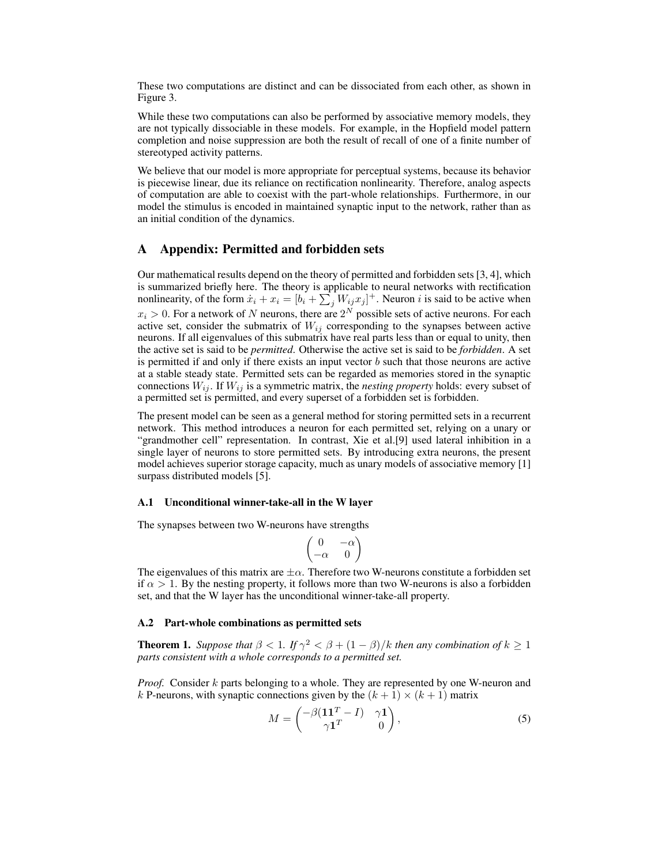These two computations are distinct and can be dissociated from each other, as shown in Figure 3.

While these two computations can also be performed by associative memory models, they are not typically dissociable in these models. For example, in the Hopfield model pattern completion and noise suppression are both the result of recall of one of a finite number of stereotyped activity patterns.

We believe that our model is more appropriate for perceptual systems, because its behavior is piecewise linear, due its reliance on rectification nonlinearity. Therefore, analog aspects of computation are able to coexist with the part-whole relationships. Furthermore, in our model the stimulus is encoded in maintained synaptic input to the network, rather than as an initial condition of the dynamics.

# A Appendix: Permitted and forbidden sets

Our mathematical results depend on the theory of permitted and forbidden sets [3, 4], which is summarized briefly here. The theory is applicable to neural networks with rectification nonlinearity, of the form  $\dot{x}_i + x_i = [b_i + \sum_j W_{ij} x_j]^+$ . Neuron *i* is said to be active when  $x_i > 0$ . For a network of N neurons, there are  $2^N$  possible sets of active neurons. For each active set, consider the submatrix of  $W_{ij}$  corresponding to the synapses between active neurons. If all eigenvalues of this submatrix have real parts less than or equal to unity, then the active set is said to be *permitted*. Otherwise the active set is said to be *forbidden*. A set is permitted if and only if there exists an input vector  $b$  such that those neurons are active at a stable steady state. Permitted sets can be regarded as memories stored in the synaptic connections  $W_{ij}$ . If  $W_{ij}$  is a symmetric matrix, the *nesting property* holds: every subset of a permitted set is permitted, and every superset of a forbidden set is forbidden.

The present model can be seen as a general method for storing permitted sets in a recurrent network. This method introduces a neuron for each permitted set, relying on a unary or "grandmother cell" representation. In contrast, Xie et al.[9] used lateral inhibition in a single layer of neurons to store permitted sets. By introducing extra neurons, the present model achieves superior storage capacity, much as unary models of associative memory [1] surpass distributed models [5].

### A.1 Unconditional winner-take-all in the W layer

The synapses between two W-neurons have strengths

$$
\begin{pmatrix} 0 & -\alpha \\ -\alpha & 0 \end{pmatrix}
$$

The eigenvalues of this matrix are  $\pm \alpha$ . Therefore two W-neurons constitute a forbidden set if  $\alpha > 1$ . By the nesting property, it follows more than two W-neurons is also a forbidden set, and that the W layer has the unconditional winner-take-all property.

#### A.2 Part-whole combinations as permitted sets

**Theorem 1.** *Suppose that*  $\beta < 1$ *. If*  $\gamma^2 < \beta + (1 - \beta)/k$  *then any combination of*  $k \ge 1$ *parts consistent with a whole corresponds to a permitted set.*

*Proof.* Consider k parts belonging to a whole. They are represented by one W-neuron and k P-neurons, with synaptic connections given by the  $(k + 1) \times (k + 1)$  matrix

$$
M = \begin{pmatrix} -\beta (11^T - I) & \gamma 1 \\ \gamma 1^T & 0 \end{pmatrix},
$$
 (5)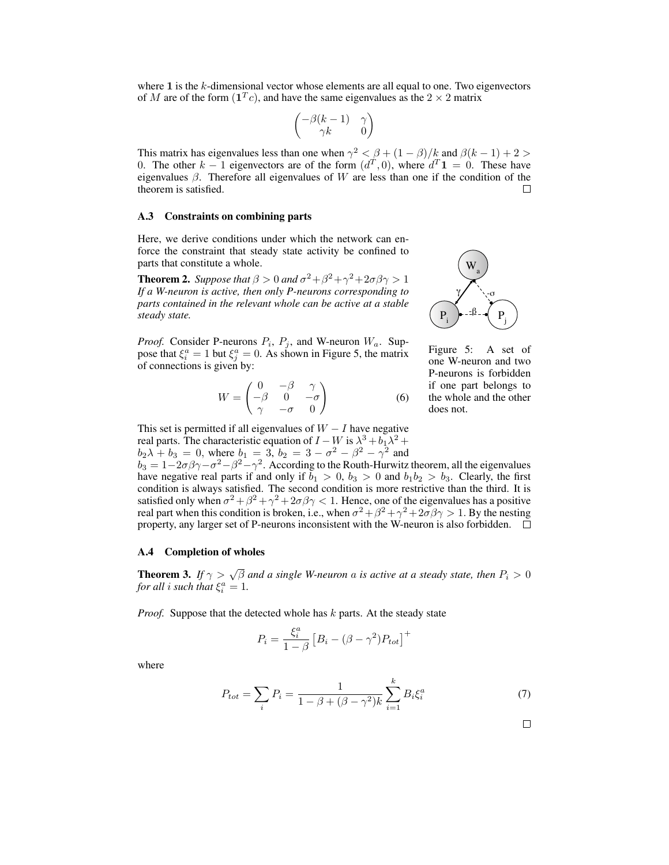where 1 is the  $k$ -dimensional vector whose elements are all equal to one. Two eigenvectors of M are of the form  $({\bf 1}^T c)$ , and have the same eigenvalues as the  $2 \times 2$  matrix

$$
\begin{pmatrix} -\beta(k-1) & \gamma \\ \gamma k & 0 \end{pmatrix}
$$

This matrix has eigenvalues less than one when  $\gamma^2 < \beta + (1 - \beta)/k$  and  $\beta(k - 1) + 2 >$ 0. The other  $k - 1$  eigenvectors are of the form  $(d^T, 0)$ , where  $d^T 1 = 0$ . These have eigenvalues  $β$ . Therefore all eigenvalues of W are less than one if the condition of the theorem is satisfied.  $\Box$ 

### A.3 Constraints on combining parts

Here, we derive conditions under which the network can enforce the constraint that steady state activity be confined to parts that constitute a whole.

**Theorem 2.** *Suppose that*  $\beta > 0$  *and*  $\sigma^2 + \beta^2 + \gamma^2 + 2\sigma\beta\gamma > 1$ *If a W- neuron is active, then only P- neurons corresponding to parts contained in the relevant whole can be active at a stable steady state.*

*Proof.* Consider P-neurons  $P_i$ ,  $P_j$ , and W-neuron  $W_a$ . Suppose that  $\xi_i^a = 1$  but  $\xi_j^a = 0$ . As shown in Figure 5, the matrix of connections is given by:

$$
W = \begin{pmatrix} 0 & -\beta & \gamma \\ -\beta & 0 & -\sigma \\ \gamma & -\sigma & 0 \end{pmatrix}
$$
 (6)



Figure 5: A set of one W- neuron and two P-neurons is forbidden if one part belongs to the whole and the other does not.

This set is permitted if all eigenvalues of  $W - I$  have negative real parts. The characteristic equation of  $I - W$  is  $\lambda^3 + b_1 \lambda^2 +$  $b_2\lambda + b_3 = 0$ , where  $b_1 = 3$ ,  $b_2 = 3 - \sigma^2 - \beta^2 - \gamma^2$  and

 $b_3 = 1-2\sigma\beta\gamma-\sigma^2-\beta^2-\gamma^2$ . According to the Routh-Hurwitz theorem, all the eigenvalues have negative real parts if and only if  $b_1 > 0$ ,  $b_3 > 0$  and  $b_1b_2 > b_3$ . Clearly, the first condition is always satisfied. The second condition is more restrictive than the third. It is satisfied only when  $\sigma^2 + \beta^2 + \gamma^2 + 2\sigma\beta\gamma < 1$ . Hence, one of the eigenvalues has a positive real part when this condition is broken, i.e., when  $\sigma^2 + \beta^2 + \gamma^2 + 2\sigma\beta\gamma > 1$ . By the nesting property, any larger set of P-neurons inconsistent with the W-neuron is also forbidden.  $\square$ 

#### A.4 Completion of wholes

**Theorem 3.** *If*  $\gamma > \sqrt{\beta}$  *and a single W-neuron a is active at a steady state, then*  $P_i > 0$ *for all i such that*  $\xi_i^a = 1$ *.* 

*Proof.* Suppose that the detected whole has k parts. At the steady state

$$
P_i = \frac{\xi_i^a}{1 - \beta} \left[ B_i - (\beta - \gamma^2) P_{tot} \right]^+
$$

where

$$
P_{tot} = \sum_{i} P_i = \frac{1}{1 - \beta + (\beta - \gamma^2)k} \sum_{i=1}^{k} B_i \xi_i^a \tag{7}
$$

 $\Box$